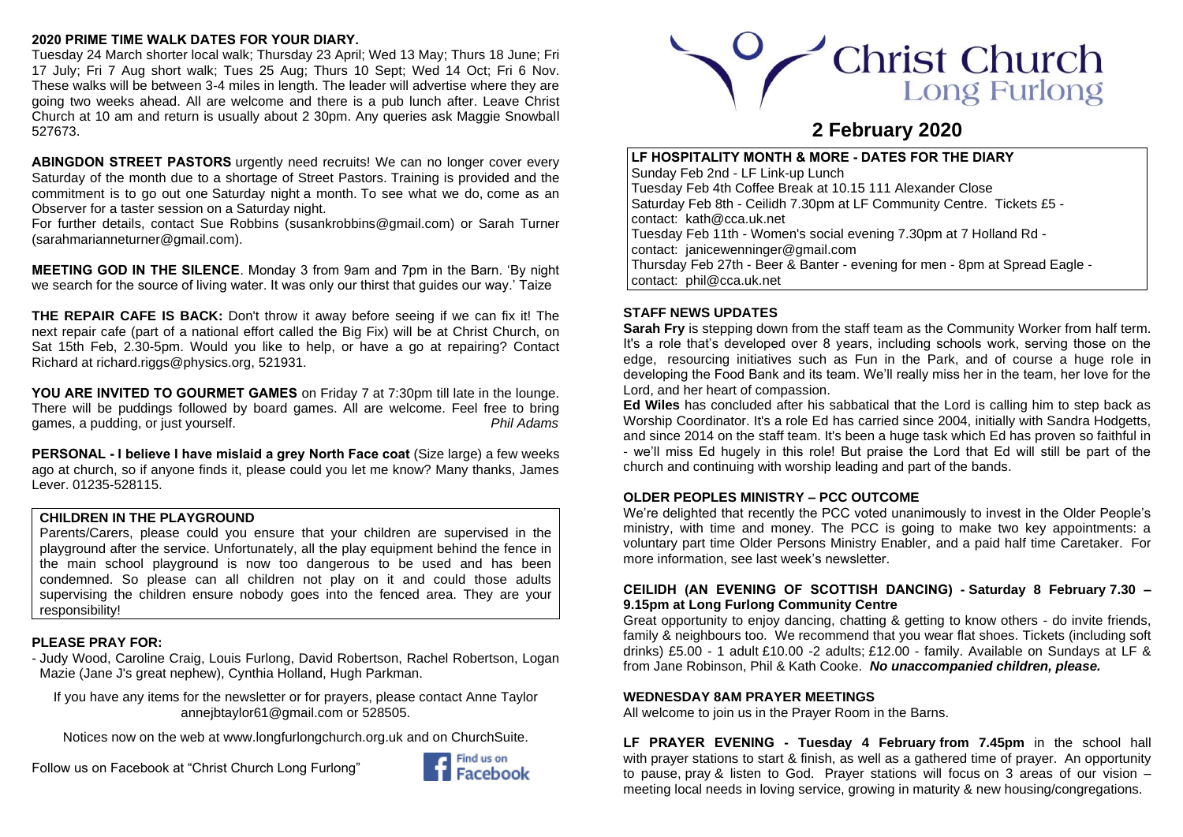## **2020 PRIME TIME WALK DATES FOR YOUR DIARY.**

Tuesday 24 March shorter local walk; Thursday 23 April; Wed 13 May; Thurs 18 June; Fri 17 July; Fri 7 Aug short walk; Tues 25 Aug; Thurs 10 Sept; Wed 14 Oct; Fri 6 Nov. These walks will be between 3-4 miles in length. The leader will advertise where they are going two weeks ahead. All are welcome and there is a pub lunch after. Leave Christ Church at 10 am and return is usually about 2 30pm. Any queries ask Maggie Snowball 527673.

**ABINGDON STREET PASTORS** urgently need recruits! We can no longer cover every Saturday of the month due to a shortage of Street Pastors. Training is provided and the commitment is to go out one [Saturday night](x-apple-data-detectors://3/) a month. To see what we do, come as an Observer for a taster session on a [Saturday night.](x-apple-data-detectors://4/)

For further details, contact Sue Robbins [\(susankrobbins@gmail.com\)](mailto:susankrobbins@gmail.com) or Sarah Turner [\(sarahmarianneturner@gmail.com\)](mailto:sarahmarianneturner@gmail.com).

**MEETING GOD IN THE SILENCE**. Monday 3 from 9am and 7pm in the Barn. 'By night we search for the source of living water. It was only our thirst that guides our way.' Taize

**THE REPAIR CAFE IS BACK:** Don't throw it away before seeing if we can fix it! The next repair cafe (part of a national effort called the Big Fix) will be at Christ Church, on Sat 15th Feb, 2.30-5pm. Would you like to help, or have a go at repairing? Contact Richard at [richard.riggs@physics.org,](mailto:richard.riggs@physics.org) 521931.

**YOU ARE INVITED TO GOURMET GAMES** on Friday 7 at 7:30pm till late in the lounge. There will be puddings followed by board games. All are welcome. Feel free to bring games, a pudding, or just yourself. *Phil Adams*

**PERSONAL - I believe I have mislaid a grey North Face coat** (Size large) a few weeks ago at church, so if anyone finds it, please could you let me know? Many thanks, James Lever. 01235-528115.

# **CHILDREN IN THE PLAYGROUND**

Parents/Carers, please could you ensure that your children are supervised in the playground after the service. Unfortunately, all the play equipment behind the fence in the main school playground is now too dangerous to be used and has been condemned. So please can all children not play on it and could those adults supervising the children ensure nobody goes into the fenced area. They are your responsibility!

# **PLEASE PRAY FOR:**

- Judy Wood, Caroline Craig, Louis Furlong, David Robertson, Rachel Robertson, Logan Mazie (Jane J's great nephew), Cynthia Holland, Hugh Parkman.

If you have any items for the newsletter or for prayers, please contact Anne Taylor anneibtaylor61@gmail.com or 528505.

Notices now on the web at [www.longfurlongchurch.org.uk](http://www.longfurlongchurch.org.uk/) and on ChurchSuite.

Follow us on Facebook at "Christ Church Long Furlong"





# **2 February 2020**

**LF HOSPITALITY MONTH & MORE - DATES FOR THE DIARY** Sunday Feb 2nd - LF Link-up Lunch Tuesday Feb 4th Coffee Break at 10.15 111 Alexander Close Saturday Feb 8th - Ceilidh 7.30pm at LF Community Centre. Tickets £5 contact: [kath@cca.uk.net](mailto:kath@cca.uk.net) Tuesday Feb 11th - Women's social evening 7.30pm at 7 Holland Rd contact: [janicewenninger@gmail.com](mailto:janicewenninger@gmail.com) Thursday Feb 27th - Beer & Banter - evening for men - 8pm at Spread Eagle contact: [phil@cca.uk.net](mailto:phil@cca.uk.net)

## **STAFF NEWS UPDATES**

**Sarah Fry** is stepping down from the staff team as the Community Worker from half term. It's a role that's developed over 8 years, including schools work, serving those on the edge, resourcing initiatives such as Fun in the Park, and of course a huge role in developing the Food Bank and its team. We'll really miss her in the team, her love for the Lord, and her heart of compassion.

**Ed Wiles** has concluded after his sabbatical that the Lord is calling him to step back as Worship Coordinator. It's a role Ed has carried since 2004, initially with Sandra Hodgetts, and since 2014 on the staff team. It's been a huge task which Ed has proven so faithful in - we'll miss Ed hugely in this role! But praise the Lord that Ed will still be part of the church and continuing with worship leading and part of the bands.

## **OLDER PEOPLES MINISTRY – PCC OUTCOME**

We're delighted that recently the PCC voted unanimously to invest in the Older People's ministry, with time and money. The PCC is going to make two key appointments: a voluntary part time Older Persons Ministry Enabler, and a paid half time Caretaker. For more information, see last week's newsletter.

## **CEILIDH (AN EVENING OF SCOTTISH DANCING) - Saturday 8 February 7.30 – 9.15pm at Long Furlong Community Centre**

Great opportunity to enjoy dancing, chatting & getting to know others - do invite friends, family & neighbours too.We recommend that you wear flat shoes. Tickets (including soft drinks) £5.00 - 1 adult £10.00 -2 adults; £12.00 - family. Available on Sundays at LF & from Jane Robinson, Phil & Kath Cooke. *No unaccompanied children, please.*

## **WEDNESDAY 8AM PRAYER MEETINGS**

All welcome to join us in the Prayer Room in the Barns.

**LF PRAYER EVENING - Tuesday 4 February from 7.45pm** in the school hall with prayer stations to start & finish, as well as a gathered time of prayer. An opportunity to pause, pray & listen to God. Prayer stations will focus on 3 areas of our vision – meeting local needs in loving service, growing in maturity & new housing/congregations.